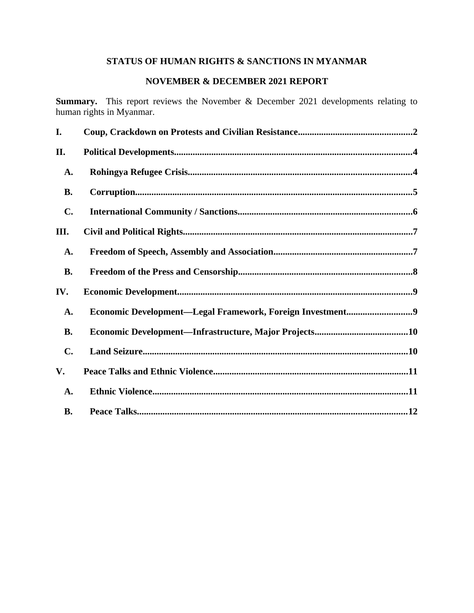# **STATUS OF HUMAN RIGHTS & SANCTIONS IN MYANMAR**

## **NOVEMBER & DECEMBER 2021 REPORT**

**Summary.** This report reviews the November & December 2021 developments relating to human rights in Myanmar.

| I.             |                                                           |
|----------------|-----------------------------------------------------------|
| II.            |                                                           |
| A.             |                                                           |
| <b>B.</b>      |                                                           |
| $\mathbf{C}$ . |                                                           |
| III.           |                                                           |
| A.             |                                                           |
| <b>B.</b>      |                                                           |
| IV.            |                                                           |
| A.             | Economic Development-Legal Framework, Foreign Investment9 |
| <b>B.</b>      |                                                           |
| $\mathbf{C}$ . |                                                           |
| V.             |                                                           |
| A.             |                                                           |
| <b>B.</b>      |                                                           |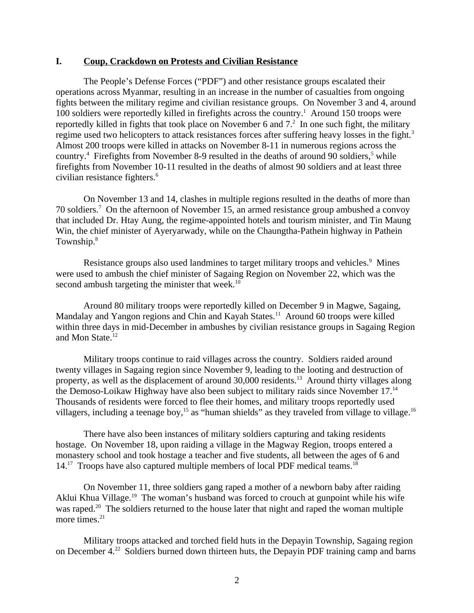#### <span id="page-1-0"></span>**I. Coup, Crackdown on Protests and Civilian Resistance**

The People's Defense Forces ("PDF") and other resistance groups escalated their operations across Myanmar, resulting in an increase in the number of casualties from ongoing fights between the military regime and civilian resistance groups. On November 3 and 4, around 100 soldiers were reportedly killed in firefights across the country.<sup>1</sup> Around 150 troops were reportedly killed in fights that took place on November 6 and  $7<sup>2</sup>$  In one such fight, the military regime used two helicopters to attack resistances forces after suffering heavy losses in the fight.<sup>3</sup> Almost 200 troops were killed in attacks on November 8-11 in numerous regions across the country.<sup>4</sup> Firefights from November 8-9 resulted in the deaths of around 90 soldiers,<sup>5</sup> while firefights from November 10-11 resulted in the deaths of almost 90 soldiers and at least three civilian resistance fighters.<sup>6</sup>

On November 13 and 14, clashes in multiple regions resulted in the deaths of more than 70 soldiers.<sup>7</sup> On the afternoon of November 15, an armed resistance group ambushed a convoy that included Dr. Htay Aung, the regime-appointed hotels and tourism minister, and Tin Maung Win, the chief minister of Ayeryarwady, while on the Chaungtha-Pathein highway in Pathein Township.<sup>8</sup>

Resistance groups also used landmines to target military troops and vehicles.<sup>9</sup> Mines were used to ambush the chief minister of Sagaing Region on November 22, which was the second ambush targeting the minister that week. $10$ 

Around 80 military troops were reportedly killed on December 9 in Magwe, Sagaing, Mandalay and Yangon regions and Chin and Kayah States.<sup>11</sup> Around 60 troops were killed within three days in mid-December in ambushes by civilian resistance groups in Sagaing Region and Mon State.<sup>12</sup>

Military troops continue to raid villages across the country. Soldiers raided around twenty villages in Sagaing region since November 9, leading to the looting and destruction of property, as well as the displacement of around 30,000 residents.<sup>13</sup> Around thirty villages along the Demoso-Loikaw Highway have also been subject to military raids since November 17.<sup>14</sup> Thousands of residents were forced to flee their homes, and military troops reportedly used villagers, including a teenage boy,<sup>15</sup> as "human shields" as they traveled from village to village.<sup>16</sup>

There have also been instances of military soldiers capturing and taking residents hostage. On November 18, upon raiding a village in the Magway Region, troops entered a monastery school and took hostage a teacher and five students, all between the ages of 6 and  $14.^{17}$  Troops have also captured multiple members of local PDF medical teams.<sup>18</sup>

On November 11, three soldiers gang raped a mother of a newborn baby after raiding Aklui Khua Village.<sup>19</sup> The woman's husband was forced to crouch at gunpoint while his wife was raped.<sup>20</sup> The soldiers returned to the house later that night and raped the woman multiple more times. $21$ 

Military troops attacked and torched field huts in the Depayin Township, Sagaing region on December 4.<sup>22</sup> Soldiers burned down thirteen huts, the Depayin PDF training camp and barns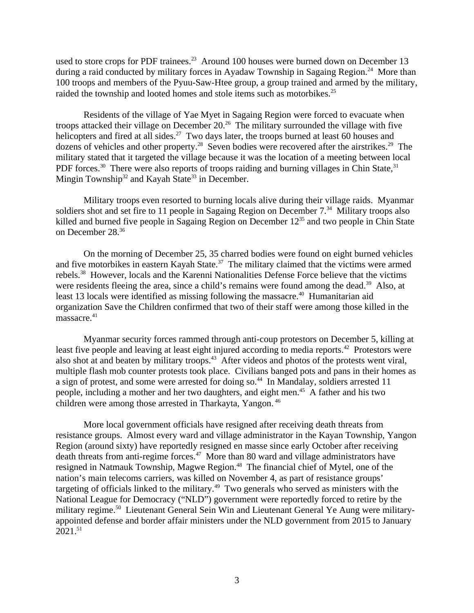used to store crops for PDF trainees.<sup>23</sup> Around 100 houses were burned down on December 13 during a raid conducted by military forces in Ayadaw Township in Sagaing Region.<sup>24</sup> More than 100 troops and members of the Pyuu-Saw-Htee group, a group trained and armed by the military, raided the township and looted homes and stole items such as motorbikes.<sup>25</sup>

Residents of the village of Yae Myet in Sagaing Region were forced to evacuate when troops attacked their village on December  $20<sup>26</sup>$  The military surrounded the village with five helicopters and fired at all sides.<sup>27</sup> Two days later, the troops burned at least 60 houses and dozens of vehicles and other property.<sup>28</sup> Seven bodies were recovered after the airstrikes.<sup>29</sup> The military stated that it targeted the village because it was the location of a meeting between local PDF forces.<sup>30</sup> There were also reports of troops raiding and burning villages in Chin State,  $31$ Mingin Township<sup>32</sup> and Kayah State<sup>33</sup> in December.

Military troops even resorted to burning locals alive during their village raids. Myanmar soldiers shot and set fire to 11 people in Sagaing Region on December  $7<sup>34</sup>$  Military troops also killed and burned five people in Sagaing Region on December 12<sup>35</sup> and two people in Chin State on December 28.<sup>36</sup>

On the morning of December 25, 35 charred bodies were found on eight burned vehicles and five motorbikes in eastern Kayah State.<sup>37</sup> The military claimed that the victims were armed rebels.<sup>38</sup> However, locals and the Karenni Nationalities Defense Force believe that the victims were residents fleeing the area, since a child's remains were found among the dead.<sup>39</sup> Also, at least 13 locals were identified as missing following the massacre.<sup>40</sup> Humanitarian aid organization Save the Children confirmed that two of their staff were among those killed in the massacre.<sup>41</sup>

Myanmar security forces rammed through anti-coup protestors on December 5, killing at least five people and leaving at least eight injured according to media reports.<sup>42</sup> Protestors were also shot at and beaten by military troops.<sup>43</sup> After videos and photos of the protests went viral, multiple flash mob counter protests took place. Civilians banged pots and pans in their homes as a sign of protest, and some were arrested for doing so.<sup>44</sup> In Mandalay, soldiers arrested 11 people, including a mother and her two daughters, and eight men.<sup>45</sup> A father and his two children were among those arrested in Tharkayta, Yangon. <sup>46</sup>

More local government officials have resigned after receiving death threats from resistance groups. Almost every ward and village administrator in the Kayan Township, Yangon Region (around sixty) have reportedly resigned en masse since early October after receiving death threats from anti-regime forces.<sup>47</sup> More than 80 ward and village administrators have resigned in Natmauk Township, Magwe Region.<sup>48</sup> The financial chief of Mytel, one of the nation's main telecoms carriers, was killed on November 4, as part of resistance groups' targeting of officials linked to the military.<sup>49</sup> Two generals who served as ministers with the National League for Democracy ("NLD") government were reportedly forced to retire by the military regime.<sup>50</sup> Lieutenant General Sein Win and Lieutenant General Ye Aung were militaryappointed defense and border affair ministers under the NLD government from 2015 to January 2021.<sup>51</sup>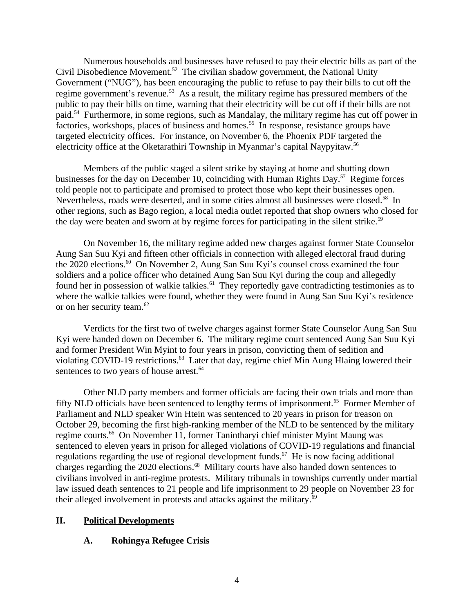Numerous households and businesses have refused to pay their electric bills as part of the Civil Disobedience Movement.<sup>52</sup> The civilian shadow government, the National Unity Government ("NUG"), has been encouraging the public to refuse to pay their bills to cut off the regime government's revenue.<sup>53</sup> As a result, the military regime has pressured members of the public to pay their bills on time, warning that their electricity will be cut off if their bills are not paid.<sup>54</sup> Furthermore, in some regions, such as Mandalay, the military regime has cut off power in factories, workshops, places of business and homes.<sup>55</sup> In response, resistance groups have targeted electricity offices. For instance, on November 6, the Phoenix PDF targeted the electricity office at the Oketarathiri Township in Myanmar's capital Naypyitaw.<sup>56</sup>

Members of the public staged a silent strike by staying at home and shutting down businesses for the day on December 10, coinciding with Human Rights Day.<sup>57</sup> Regime forces told people not to participate and promised to protect those who kept their businesses open. Nevertheless, roads were deserted, and in some cities almost all businesses were closed.<sup>58</sup> In other regions, such as Bago region, a local media outlet reported that shop owners who closed for the day were beaten and sworn at by regime forces for participating in the silent strike.<sup>59</sup>

On November 16, the military regime added new charges against former State Counselor Aung San Suu Kyi and fifteen other officials in connection with alleged electoral fraud during the 2020 elections.<sup>60</sup> On November 2, Aung San Suu Kyi's counsel cross examined the four soldiers and a police officer who detained Aung San Suu Kyi during the coup and allegedly found her in possession of walkie talkies. $61$  They reportedly gave contradicting testimonies as to where the walkie talkies were found, whether they were found in Aung San Suu Kyi's residence or on her security team.<sup>62</sup>

Verdicts for the first two of twelve charges against former State Counselor Aung San Suu Kyi were handed down on December 6. The military regime court sentenced Aung San Suu Kyi and former President Win Myint to four years in prison, convicting them of sedition and violating COVID-19 restrictions.<sup>63</sup> Later that day, regime chief Min Aung Hlaing lowered their sentences to two years of house arrest.<sup>64</sup>

Other NLD party members and former officials are facing their own trials and more than fifty NLD officials have been sentenced to lengthy terms of imprisonment.<sup>65</sup> Former Member of Parliament and NLD speaker Win Htein was sentenced to 20 years in prison for treason on October 29, becoming the first high-ranking member of the NLD to be sentenced by the military regime courts.<sup>66</sup> On November 11, former Tanintharyi chief minister Myint Maung was sentenced to eleven years in prison for alleged violations of COVID-19 regulations and financial regulations regarding the use of regional development funds.<sup>67</sup> He is now facing additional charges regarding the 2020 elections.<sup>68</sup> Military courts have also handed down sentences to civilians involved in anti-regime protests. Military tribunals in townships currently under martial law issued death sentences to 21 people and life imprisonment to 29 people on November 23 for their alleged involvement in protests and attacks against the military. $69$ 

## **II. Political Developments**

## <span id="page-3-1"></span><span id="page-3-0"></span>**A. Rohingya Refugee Crisis**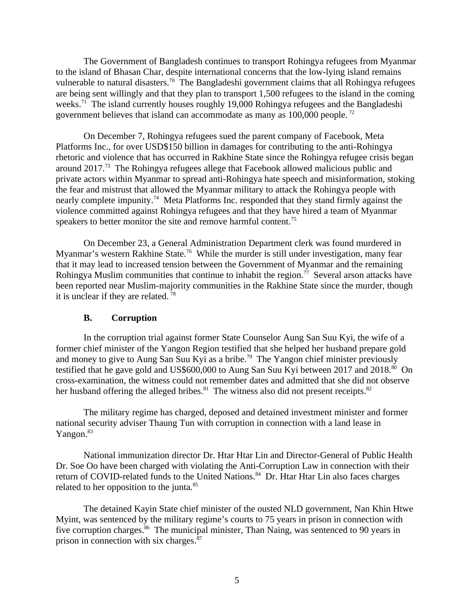The Government of Bangladesh continues to transport Rohingya refugees from Myanmar to the island of Bhasan Char, despite international concerns that the low-lying island remains vulnerable to natural disasters.<sup>70</sup> The Bangladeshi government claims that all Rohingya refugees are being sent willingly and that they plan to transport 1,500 refugees to the island in the coming weeks.<sup>71</sup> The island currently houses roughly 19,000 Rohingya refugees and the Bangladeshi government believes that island can accommodate as many as 100,000 people.<sup>72</sup>

On December 7, Rohingya refugees sued the parent company of Facebook, Meta Platforms Inc., for over USD\$150 billion in damages for contributing to the anti-Rohingya rhetoric and violence that has occurred in Rakhine State since the Rohingya refugee crisis began around 2017.<sup>73</sup> The Rohingya refugees allege that Facebook allowed malicious public and private actors within Myanmar to spread anti-Rohingya hate speech and misinformation, stoking the fear and mistrust that allowed the Myanmar military to attack the Rohingya people with nearly complete impunity.<sup>74</sup> Meta Platforms Inc. responded that they stand firmly against the violence committed against Rohingya refugees and that they have hired a team of Myanmar speakers to better monitor the site and remove harmful content.<sup>75</sup>

On December 23, a General Administration Department clerk was found murdered in Myanmar's western Rakhine State.<sup>76</sup> While the murder is still under investigation, many fear that it may lead to increased tension between the Government of Myanmar and the remaining Rohingya Muslim communities that continue to inhabit the region.<sup>77</sup> Several arson attacks have been reported near Muslim-majority communities in the Rakhine State since the murder, though it is unclear if they are related.  $78$ 

### <span id="page-4-0"></span>**B. Corruption**

In the corruption trial against former State Counselor Aung San Suu Kyi, the wife of a former chief minister of the Yangon Region testified that she helped her husband prepare gold and money to give to Aung San Suu Kyi as a bribe.<sup>79</sup> The Yangon chief minister previously testified that he gave gold and US\$600,000 to Aung San Suu Kyi between 2017 and 2018.<sup>80</sup> On cross-examination, the witness could not remember dates and admitted that she did not observe her husband offering the alleged bribes. $81$  The witness also did not present receipts. $82$ 

The military regime has charged, deposed and detained investment minister and former national security adviser Thaung Tun with corruption in connection with a land lease in Yangon.<sup>83</sup>

National immunization director Dr. Htar Htar Lin and Director-General of Public Health Dr. Soe Oo have been charged with violating the Anti-Corruption Law in connection with their return of COVID-related funds to the United Nations.<sup>84</sup> Dr. Htar Htar Lin also faces charges related to her opposition to the junta.<sup>85</sup>

The detained Kayin State chief minister of the ousted NLD government, Nan Khin Htwe Myint, was sentenced by the military regime's courts to 75 years in prison in connection with five corruption charges. $86$  The municipal minister, Than Naing, was sentenced to 90 years in prison in connection with six charges.<sup>87</sup>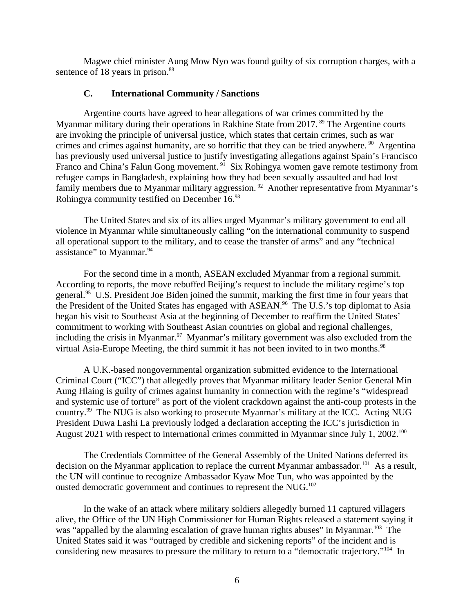Magwe chief minister Aung Mow Nyo was found guilty of six corruption charges, with a sentence of 18 years in prison.<sup>88</sup>

#### <span id="page-5-0"></span>**C. International Community / Sanctions**

Argentine courts have agreed to hear allegations of war crimes committed by the Myanmar military during their operations in Rakhine State from 2017.<sup>89</sup> The Argentine courts are invoking the principle of universal justice, which states that certain crimes, such as war crimes and crimes against humanity, are so horrific that they can be tried anywhere.  $90$  Argentina has previously used universal justice to justify investigating allegations against Spain's Francisco Franco and China's Falun Gong movement.<sup>91</sup> Six Rohingya women gave remote testimony from refugee camps in Bangladesh, explaining how they had been sexually assaulted and had lost family members due to Myanmar military aggression.<sup>92</sup> Another representative from Myanmar's Rohingya community testified on December  $16.^{93}$ 

The United States and six of its allies urged Myanmar's military government to end all violence in Myanmar while simultaneously calling "on the international community to suspend all operational support to the military, and to cease the transfer of arms" and any "technical assistance" to Myanmar.<sup>94</sup>

For the second time in a month, ASEAN excluded Myanmar from a regional summit. According to reports, the move rebuffed Beijing's request to include the military regime's top general.<sup>95</sup> U.S. President Joe Biden joined the summit, marking the first time in four years that the President of the United States has engaged with ASEAN.<sup>96</sup> The U.S.'s top diplomat to Asia began his visit to Southeast Asia at the beginning of December to reaffirm the United States' commitment to working with Southeast Asian countries on global and regional challenges, including the crisis in Myanmar.<sup>97</sup> Myanmar's military government was also excluded from the virtual Asia-Europe Meeting, the third summit it has not been invited to in two months.<sup>98</sup>

A U.K.-based nongovernmental organization submitted evidence to the International Criminal Court ("ICC") that allegedly proves that Myanmar military leader Senior General Min Aung Hlaing is guilty of crimes against humanity in connection with the regime's "widespread and systemic use of torture" as port of the violent crackdown against the anti-coup protests in the country.<sup>99</sup> The NUG is also working to prosecute Myanmar's military at the ICC. Acting NUG President Duwa Lashi La previously lodged a declaration accepting the ICC's jurisdiction in August 2021 with respect to international crimes committed in Myanmar since July 1, 2002.<sup>100</sup>

The Credentials Committee of the General Assembly of the United Nations deferred its decision on the Myanmar application to replace the current Myanmar ambassador.<sup>101</sup> As a result, the UN will continue to recognize Ambassador Kyaw Moe Tun, who was appointed by the ousted democratic government and continues to represent the NUG.<sup>102</sup>

In the wake of an attack where military soldiers allegedly burned 11 captured villagers alive, the Office of the UN High Commissioner for Human Rights released a statement saying it was "appalled by the alarming escalation of grave human rights abuses" in Myanmar.<sup>103</sup> The United States said it was "outraged by credible and sickening reports" of the incident and is considering new measures to pressure the military to return to a "democratic trajectory."<sup>104</sup> In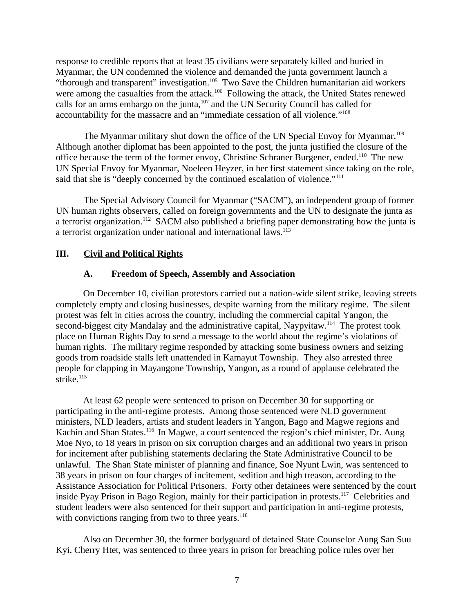response to credible reports that at least 35 civilians were separately killed and buried in Myanmar, the UN condemned the violence and demanded the junta government launch a "thorough and transparent" investigation.<sup>105</sup> Two Save the Children humanitarian aid workers were among the casualties from the attack.<sup>106</sup> Following the attack, the United States renewed calls for an arms embargo on the junta,<sup>107</sup> and the UN Security Council has called for accountability for the massacre and an "immediate cessation of all violence."<sup>108</sup>

The Myanmar military shut down the office of the UN Special Envoy for Myanmar.<sup>109</sup> Although another diplomat has been appointed to the post, the junta justified the closure of the office because the term of the former envoy, Christine Schraner Burgener, ended.<sup>110</sup> The new UN Special Envoy for Myanmar, Noeleen Heyzer, in her first statement since taking on the role, said that she is "deeply concerned by the continued escalation of violence."<sup>111</sup>

The Special Advisory Council for Myanmar ("SACM"), an independent group of former UN human rights observers, called on foreign governments and the UN to designate the junta as a terrorist organization.<sup>112</sup> SACM also published a briefing paper demonstrating how the junta is a terrorist organization under national and international laws. $113$ 

## **III. Civil and Political Rights**

## <span id="page-6-1"></span><span id="page-6-0"></span>**A. Freedom of Speech, Assembly and Association**

On December 10, civilian protestors carried out a nation-wide silent strike, leaving streets completely empty and closing businesses, despite warning from the military regime. The silent protest was felt in cities across the country, including the commercial capital Yangon, the second-biggest city Mandalay and the administrative capital, Naypyitaw.<sup>114</sup> The protest took place on Human Rights Day to send a message to the world about the regime's violations of human rights. The military regime responded by attacking some business owners and seizing goods from roadside stalls left unattended in Kamayut Township. They also arrested three people for clapping in Mayangone Township, Yangon, as a round of applause celebrated the strike. $115$ 

At least 62 people were sentenced to prison on December 30 for supporting or participating in the anti-regime protests. Among those sentenced were NLD government ministers, NLD leaders, artists and student leaders in Yangon, Bago and Magwe regions and Kachin and Shan States.<sup>116</sup> In Magwe, a court sentenced the region's chief minister, Dr. Aung Moe Nyo, to 18 years in prison on six corruption charges and an additional two years in prison for incitement after publishing statements declaring the State Administrative Council to be unlawful. The Shan State minister of planning and finance, Soe Nyunt Lwin, was sentenced to 38 years in prison on four charges of incitement, sedition and high treason, according to the Assistance Association for Political Prisoners. Forty other detainees were sentenced by the court inside Pyay Prison in Bago Region, mainly for their participation in protests.<sup>117</sup> Celebrities and student leaders were also sentenced for their support and participation in anti-regime protests, with convictions ranging from two to three years. $118$ 

Also on December 30, the former bodyguard of detained State Counselor Aung San Suu Kyi, Cherry Htet, was sentenced to three years in prison for breaching police rules over her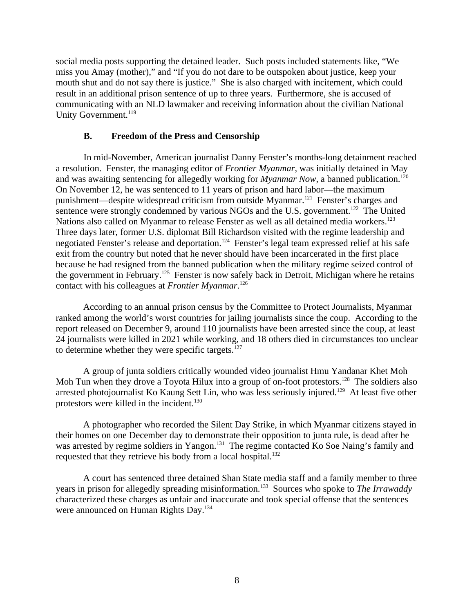social media posts supporting the detained leader. Such posts included statements like, "We miss you Amay (mother)," and "If you do not dare to be outspoken about justice, keep your mouth shut and do not say there is justice." She is also charged with incitement, which could result in an additional prison sentence of up to three years. Furthermore, she is accused of communicating with an NLD lawmaker and receiving information about the civilian National Unity Government.<sup>119</sup>

### <span id="page-7-0"></span>**B. Freedom of the Press and Censorship**

In mid-November, American journalist Danny Fenster's months-long detainment reached a resolution. Fenster, the managing editor of *Frontier Myanmar*, was initially detained in May and was awaiting sentencing for allegedly working for *Myanmar Now*, a banned publication.<sup>120</sup> On November 12, he was sentenced to 11 years of prison and hard labor—the maximum punishment—despite widespread criticism from outside Myanmar.<sup>121</sup> Fenster's charges and sentence were strongly condemned by various NGOs and the U.S. government.<sup>122</sup> The United Nations also called on Myanmar to release Fenster as well as all detained media workers.<sup>123</sup> Three days later, former U.S. diplomat Bill Richardson visited with the regime leadership and negotiated Fenster's release and deportation.<sup>124</sup> Fenster's legal team expressed relief at his safe exit from the country but noted that he never should have been incarcerated in the first place because he had resigned from the banned publication when the military regime seized control of the government in February.<sup>125</sup> Fenster is now safely back in Detroit, Michigan where he retains contact with his colleagues at *Frontier Myanmar*. 126

According to an annual prison census by the Committee to Protect Journalists, Myanmar ranked among the world's worst countries for jailing journalists since the coup. According to the report released on December 9, around 110 journalists have been arrested since the coup, at least 24 journalists were killed in 2021 while working, and 18 others died in circumstances too unclear to determine whether they were specific targets. $127$ 

A group of junta soldiers critically wounded video journalist Hmu Yandanar Khet Moh Moh Tun when they drove a Toyota Hilux into a group of on-foot protestors.<sup>128</sup> The soldiers also arrested photojournalist Ko Kaung Sett Lin, who was less seriously injured.<sup>129</sup> At least five other protestors were killed in the incident.<sup>130</sup>

A photographer who recorded the Silent Day Strike, in which Myanmar citizens stayed in their homes on one December day to demonstrate their opposition to junta rule, is dead after he was arrested by regime soldiers in Yangon.<sup>131</sup> The regime contacted Ko Soe Naing's family and requested that they retrieve his body from a local hospital. $132$ 

A court has sentenced three detained Shan State media staff and a family member to three years in prison for allegedly spreading misinformation.<sup>133</sup> Sources who spoke to *The Irrawaddy* characterized these charges as unfair and inaccurate and took special offense that the sentences were announced on Human Rights Day.<sup>134</sup>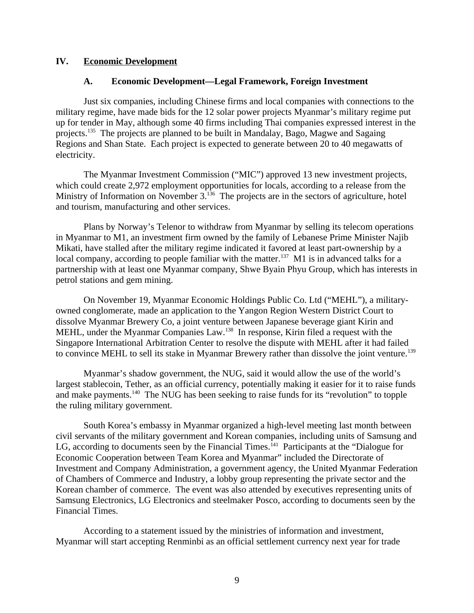#### **IV. Economic Development**

### <span id="page-8-1"></span><span id="page-8-0"></span>**A. Economic Development—Legal Framework, Foreign Investment**

Just six companies, including Chinese firms and local companies with connections to the military regime, have made bids for the 12 solar power projects Myanmar's military regime put up for tender in May, although some 40 firms including Thai companies expressed interest in the projects.<sup>135</sup> The projects are planned to be built in Mandalay, Bago, Magwe and Sagaing Regions and Shan State. Each project is expected to generate between 20 to 40 megawatts of electricity.

The Myanmar Investment Commission ("MIC") approved 13 new investment projects, which could create 2,972 employment opportunities for locals, according to a release from the Ministry of Information on November 3.<sup>136</sup> The projects are in the sectors of agriculture, hotel and tourism, manufacturing and other services.

Plans by Norway's Telenor to withdraw from Myanmar by selling its telecom operations in Myanmar to M1, an investment firm owned by the family of Lebanese Prime Minister Najib Mikati, have stalled after the military regime indicated it favored at least part-ownership by a local company, according to people familiar with the matter.<sup>137</sup> M1 is in advanced talks for a partnership with at least one Myanmar company, Shwe Byain Phyu Group, which has interests in petrol stations and gem mining.

On November 19, Myanmar Economic Holdings Public Co. Ltd ("MEHL"), a militaryowned conglomerate, made an application to the Yangon Region Western District Court to dissolve Myanmar Brewery Co, a joint venture between Japanese beverage giant Kirin and MEHL, under the Myanmar Companies Law.<sup>138</sup> In response, Kirin filed a request with the Singapore International Arbitration Center to resolve the dispute with MEHL after it had failed to convince MEHL to sell its stake in Myanmar Brewery rather than dissolve the joint venture.<sup>139</sup>

Myanmar's shadow government, the NUG, said it would allow the use of the world's largest stablecoin, Tether, as an official currency, potentially making it easier for it to raise funds and make payments.<sup>140</sup> The NUG has been seeking to raise funds for its "revolution" to topple the ruling military government.

South Korea's embassy in Myanmar organized a high-level meeting last month between civil servants of the military government and Korean companies, including units of Samsung and LG, according to documents seen by the Financial Times.<sup>141</sup> Participants at the "Dialogue for Economic Cooperation between Team Korea and Myanmar" included the Directorate of Investment and Company Administration, a government agency, the United Myanmar Federation of Chambers of Commerce and Industry, a lobby group representing the private sector and the Korean chamber of commerce. The event was also attended by executives representing units of Samsung Electronics, LG Electronics and steelmaker Posco, according to documents seen by the Financial Times.

According to a statement issued by the ministries of information and investment, Myanmar will start accepting Renminbi as an official settlement currency next year for trade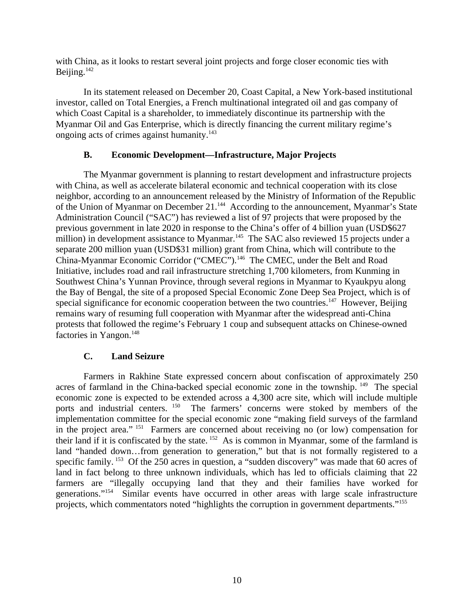with China, as it looks to restart several joint projects and forge closer economic ties with Beijing.<sup>142</sup>

In its statement released on December 20, Coast Capital, a New York-based institutional investor, called on Total Energies, a French multinational integrated oil and gas company of which Coast Capital is a shareholder, to immediately discontinue its partnership with the Myanmar Oil and Gas Enterprise, which is directly financing the current military regime's ongoing acts of crimes against humanity.<sup>143</sup>

### <span id="page-9-1"></span>**B. Economic Development—Infrastructure, Major Projects**

The Myanmar government is planning to restart development and infrastructure projects with China, as well as accelerate bilateral economic and technical cooperation with its close neighbor, according to an announcement released by the Ministry of Information of the Republic of the Union of Myanmar on December 21.<sup>144</sup> According to the announcement, Myanmar's State Administration Council ("SAC") has reviewed a list of 97 projects that were proposed by the previous government in late 2020 in response to the China's offer of 4 billion yuan (USD\$627 million) in development assistance to Myanmar.<sup>145</sup> The SAC also reviewed 15 projects under a separate 200 million yuan (USD\$31 million) grant from China, which will contribute to the China-Myanmar Economic Corridor ("CMEC").<sup>146</sup> The CMEC, under the Belt and Road Initiative, includes road and rail infrastructure stretching 1,700 kilometers, from Kunming in Southwest China's Yunnan Province, through several regions in Myanmar to Kyaukpyu along the Bay of Bengal, the site of a proposed Special Economic Zone Deep Sea Project, which is of special significance for economic cooperation between the two countries.<sup>147</sup> However, Beijing remains wary of resuming full cooperation with Myanmar after the widespread anti-China protests that followed the regime's February 1 coup and subsequent attacks on Chinese-owned factories in Yangon.<sup>148</sup>

## <span id="page-9-0"></span>**C. Land Seizure**

Farmers in Rakhine State expressed concern about confiscation of approximately 250 acres of farmland in the China-backed special economic zone in the township. <sup>149</sup> The special economic zone is expected to be extended across a 4,300 acre site, which will include multiple ports and industrial centers. <sup>150</sup> The farmers' concerns were stoked by members of the The farmers' concerns were stoked by members of the implementation committee for the special economic zone "making field surveys of the farmland in the project area." <sup>151</sup> Farmers are concerned about receiving no (or low) compensation for their land if it is confiscated by the state. <sup>152</sup> As is common in Myanmar, some of the farmland is land "handed down…from generation to generation," but that is not formally registered to a specific family. <sup>153</sup> Of the 250 acres in question, a "sudden discovery" was made that 60 acres of land in fact belong to three unknown individuals, which has led to officials claiming that 22 farmers are "illegally occupying land that they and their families have worked for generations."<sup>154</sup> Similar events have occurred in other areas with large scale infrastructure projects, which commentators noted "highlights the corruption in government departments."<sup>155</sup>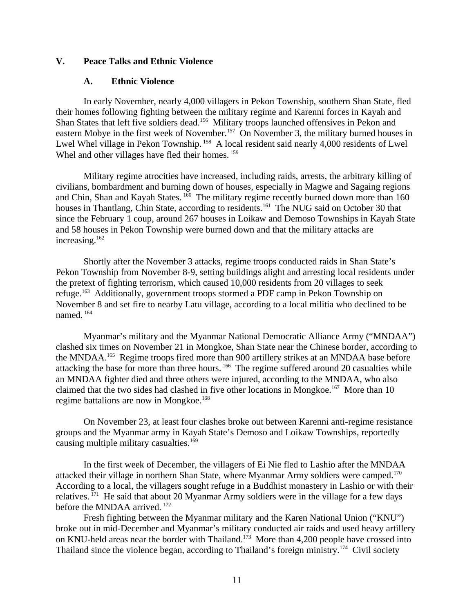### **V. Peace Talks and Ethnic Violence**

#### <span id="page-10-1"></span><span id="page-10-0"></span>**A. Ethnic Violence**

In early November, nearly 4,000 villagers in Pekon Township, southern Shan State, fled their homes following fighting between the military regime and Karenni forces in Kayah and Shan States that left five soldiers dead.<sup>156</sup> Military troops launched offensives in Pekon and eastern Mobye in the first week of November.<sup>157</sup> On November 3, the military burned houses in Lwel Whel village in Pekon Township.<sup>158</sup> A local resident said nearly 4,000 residents of Lwel Whel and other villages have fled their homes.  $^{159}$ 

Military regime atrocities have increased, including raids, arrests, the arbitrary killing of civilians, bombardment and burning down of houses, especially in Magwe and Sagaing regions and Chin, Shan and Kayah States. <sup>160</sup> The military regime recently burned down more than 160 houses in Thantlang, Chin State, according to residents.<sup>161</sup> The NUG said on October 30 that since the February 1 coup, around 267 houses in Loikaw and Demoso Townships in Kayah State and 58 houses in Pekon Township were burned down and that the military attacks are increasing.<sup>162</sup>

Shortly after the November 3 attacks, regime troops conducted raids in Shan State's Pekon Township from November 8-9, setting buildings alight and arresting local residents under the pretext of fighting terrorism, which caused 10,000 residents from 20 villages to seek refuge.<sup>163</sup> Additionally, government troops stormed a PDF camp in Pekon Township on November 8 and set fire to nearby Latu village, according to a local militia who declined to be named. <sup>164</sup>

Myanmar's military and the Myanmar National Democratic Alliance Army ("MNDAA") clashed six times on November 21 in Mongkoe, Shan State near the Chinese border, according to the MNDAA.<sup>165</sup> Regime troops fired more than 900 artillery strikes at an MNDAA base before attacking the base for more than three hours.<sup>166</sup> The regime suffered around 20 casualties while an MNDAA fighter died and three others were injured, according to the MNDAA, who also claimed that the two sides had clashed in five other locations in Mongkoe.<sup>167</sup> More than 10 regime battalions are now in Mongkoe.<sup>168</sup>

On November 23, at least four clashes broke out between Karenni anti-regime resistance groups and the Myanmar army in Kayah State's Demoso and Loikaw Townships, reportedly causing multiple military casualties.<sup>169</sup>

In the first week of December, the villagers of Ei Nie fled to Lashio after the MNDAA attacked their village in northern Shan State, where Myanmar Army soldiers were camped.<sup>170</sup> According to a local, the villagers sought refuge in a Buddhist monastery in Lashio or with their relatives.  $171$  He said that about 20 Myanmar Army soldiers were in the village for a few days before the MNDAA arrived.<sup>172</sup>

Fresh fighting between the Myanmar military and the Karen National Union ("KNU") broke out in mid-December and Myanmar's military conducted air raids and used heavy artillery on KNU-held areas near the border with Thailand.<sup>173</sup> More than 4,200 people have crossed into Thailand since the violence began, according to Thailand's foreign ministry.<sup>174</sup> Civil society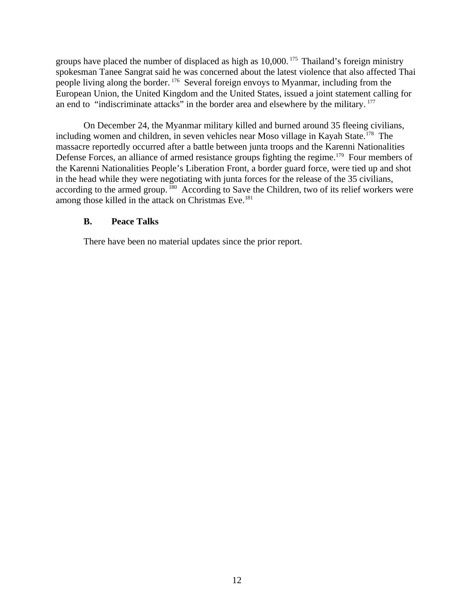groups have placed the number of displaced as high as  $10,000$ . <sup>175</sup> Thailand's foreign ministry spokesman Tanee Sangrat said he was concerned about the latest violence that also affected Thai people living along the border. <sup>176</sup> Several foreign envoys to Myanmar, including from the European Union, the United Kingdom and the United States, issued a joint statement calling for an end to "indiscriminate attacks" in the border area and elsewhere by the military.<sup>177</sup>

On December 24, the Myanmar military killed and burned around 35 fleeing civilians, including women and children, in seven vehicles near Moso village in Kayah State.<sup>178</sup> The massacre reportedly occurred after a battle between junta troops and the Karenni Nationalities Defense Forces, an alliance of armed resistance groups fighting the regime.<sup>179</sup> Four members of the Karenni Nationalities People's Liberation Front, a border guard force, were tied up and shot in the head while they were negotiating with junta forces for the release of the 35 civilians, according to the armed group.<sup>180</sup> According to Save the Children, two of its relief workers were among those killed in the attack on Christmas Eve.<sup>181</sup>

### <span id="page-11-0"></span>**B. Peace Talks**

There have been no material updates since the prior report.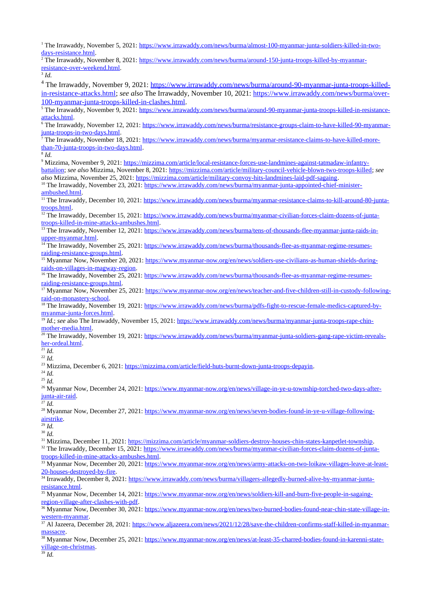<sup>1</sup> The Irrawaddy, November 5, 2021: <u>https://www.irrawaddy.com/news/burma/almost-100-myanmar-junta-soldiers-killed-in-two-</u> [days-resistance.html.](https://www.irrawaddy.com/news/burma/almost-100-myanmar-junta-soldiers-killed-in-two-days-resistance.html)

<sup>2</sup> The Irrawaddy, November 8, 2021: <u>https://www.irrawaddy.com/news/burma/around-150-junta-troops-killed-by-myanmar-</u> [resistance-over-weekend.html.](https://www.irrawaddy.com/news/burma/around-150-junta-troops-killed-by-myanmar-resistance-over-weekend.html)

3 *Id.*

<sup>4</sup> The Irrawaddy, November 9, 2021: <u>https://www.irrawaddy.com/news/burma/around-90-myanmar-junta-troops-killed-</u> [in-resistance-attacks.html;](https://www.irrawaddy.com/news/burma/around-90-myanmar-junta-troops-killed-in-resistance-attacks.html) *see also* The Irrawaddy, November 10, 2021: [https://www.irrawaddy.com/news/burma/over-](https://www.irrawaddy.com/news/burma/over-100-myanmar-junta-troops-killed-in-clashes.html)[100-myanmar-junta-troops-killed-in-clashes.html.](https://www.irrawaddy.com/news/burma/over-100-myanmar-junta-troops-killed-in-clashes.html)

<sup>5</sup> The Irrawaddy, November 9, 2021: <u>https://www.irrawaddy.com/news/burma/around-90-myanmar-junta-troops-killed-in-resistance-</u> [attacks.html.](https://www.irrawaddy.com/news/burma/around-90-myanmar-junta-troops-killed-in-resistance-attacks.html)

<sup>6</sup> The Irrawaddy, November 12, 2021: [https://www.irrawaddy.com/news/burma/resistance-groups-claim-to-have-killed-90-myanmar](https://www.irrawaddy.com/news/burma/resistance-groups-claim-to-have-killed-90-myanmar-junta-troops-in-two-days.html)[junta-troops-in-two-days.html.](https://www.irrawaddy.com/news/burma/resistance-groups-claim-to-have-killed-90-myanmar-junta-troops-in-two-days.html)

7 The Irrawaddy, November 18, 2021: [https://www.irrawaddy.com/news/burma/myanmar-resistance-claims-to-have-killed-more](https://www.irrawaddy.com/news/burma/myanmar-resistance-claims-to-have-killed-more-than-70-junta-troops-in-two-days.html)[than-70-junta-troops-in-two-days.html.](https://www.irrawaddy.com/news/burma/myanmar-resistance-claims-to-have-killed-more-than-70-junta-troops-in-two-days.html)

8 *Id.*

<sup>9</sup> Mizzima, November 9, 2021: <u>https://mizzima.com/article/local-resistance-forces-use-landmines-against-tatmadaw-infantry-</u> [battalion;](https://mizzima.com/article/local-resistance-forces-use-landmines-against-tatmadaw-infantry-battalion) *see also* Mizzima, November 8, 2021: [https://mizzima.com/article/military-council-vehicle-blown-two-troops-killed;](https://mizzima.com/article/military-council-vehicle-blown-two-troops-killed) *see also* Mizzima, November 25, 2021: [https://mizzima.com/article/military-convoy-hits-landmines-laid-pdf-sagaing.](https://mizzima.com/article/military-convoy-hits-landmines-laid-pdf-sagaing)

<sup>10</sup> The Irrawaddy, November 23, 2021: [https://www.irrawaddy.com/news/burma/myanmar-junta-appointed-chief-minister](https://www.irrawaddy.com/news/burma/myanmar-junta-appointed-chief-minister-ambushed.html)[ambushed.html.](https://www.irrawaddy.com/news/burma/myanmar-junta-appointed-chief-minister-ambushed.html)

<sup>11</sup> The Irrawaddy, December 10, 2021: [https://www.irrawaddy.com/news/burma/myanmar-resistance-claims-to-kill-around-80-junta](https://www.irrawaddy.com/news/burma/myanmar-resistance-claims-to-kill-around-80-junta-troops.html)[troops.html.](https://www.irrawaddy.com/news/burma/myanmar-resistance-claims-to-kill-around-80-junta-troops.html)

<sup>12</sup> The Irrawaddy, December 15, 2021: [https://www.irrawaddy.com/news/burma/myanmar-civilian-forces-claim-dozens-of-junta](https://www.irrawaddy.com/news/burma/myanmar-civilian-forces-claim-dozens-of-junta-troops-killed-in-mine-attacks-ambushes.html)[troops-killed-in-mine-attacks-ambushes.html.](https://www.irrawaddy.com/news/burma/myanmar-civilian-forces-claim-dozens-of-junta-troops-killed-in-mine-attacks-ambushes.html)

<sup>13</sup> The Irrawaddy, November 12, 2021: <u>https://www.irrawaddy.com/news/burma/tens-of-thousands-flee-myanmar-junta-raids-in-</u> [upper-myanmar.html.](https://www.irrawaddy.com/news/burma/tens-of-thousands-flee-myanmar-junta-raids-in-upper-myanmar.html)

<sup>14</sup> The Irrawaddy, November 25, 2021: [https://www.irrawaddy.com/news/burma/thousands-flee-as-myanmar-regime-resumes](https://www.irrawaddy.com/news/burma/thousands-flee-as-myanmar-regime-resumes-raiding-resistance-groups.html)[raiding-resistance-groups.html.](https://www.irrawaddy.com/news/burma/thousands-flee-as-myanmar-regime-resumes-raiding-resistance-groups.html)

15 Myanmar Now, November 20, 2021: [https://www.myanmar-now.org/en/news/soldiers-use-civilians-as-human-shields-during](https://www.myanmar-now.org/en/news/soldiers-use-civilians-as-human-shields-during-raids-on-villages-in-magway-region)[raids-on-villages-in-magway-region.](https://www.myanmar-now.org/en/news/soldiers-use-civilians-as-human-shields-during-raids-on-villages-in-magway-region)

<sup>16</sup> The Irrawaddy, November 25, 2021: [https://www.irrawaddy.com/news/burma/thousands-flee-as-myanmar-regime-resumes](https://www.irrawaddy.com/news/burma/thousands-flee-as-myanmar-regime-resumes-raiding-resistance-groups.html)[raiding-resistance-groups.html.](https://www.irrawaddy.com/news/burma/thousands-flee-as-myanmar-regime-resumes-raiding-resistance-groups.html)

17 Myanmar Now, November 25, 2021: [https://www.myanmar-now.org/en/news/teacher-and-five-children-still-in-custody-following](https://www.myanmar-now.org/en/news/teacher-and-five-children-still-in-custody-following-raid-on-monastery-school)[raid-on-monastery-school.](https://www.myanmar-now.org/en/news/teacher-and-five-children-still-in-custody-following-raid-on-monastery-school)

<sup>18</sup> The Irrawaddy, November 19, 2021: [https://www.irrawaddy.com/news/burma/pdfs-fight-to-rescue-female-medics-captured-by](https://www.irrawaddy.com/news/burma/pdfs-fight-to-rescue-female-medics-captured-by-myanmar-junta-forces.html)[myanmar-junta-forces.html.](https://www.irrawaddy.com/news/burma/pdfs-fight-to-rescue-female-medics-captured-by-myanmar-junta-forces.html)

<sup>19</sup> *Id.*; see also The Irrawaddy, November 15, 2021: [https://www.irrawaddy.com/news/burma/myanmar-junta-troops-rape-chin](https://www.irrawaddy.com/news/burma/myanmar-junta-troops-rape-chin-mother-media.html)[mother-media.html.](https://www.irrawaddy.com/news/burma/myanmar-junta-troops-rape-chin-mother-media.html)

<sup>20</sup> The Irrawaddy, November 19, 2021: [https://www.irrawaddy.com/news/burma/myanmar-junta-soldiers-gang-rape-victim-reveals](https://www.irrawaddy.com/news/burma/myanmar-junta-soldiers-gang-rape-victim-reveals-her-ordeal.html)[her-ordeal.html.](https://www.irrawaddy.com/news/burma/myanmar-junta-soldiers-gang-rape-victim-reveals-her-ordeal.html)

 $\overline{\overset{21}{11}}$ *Id.* 

<sup>22</sup> *Id.*

<sup>23</sup> Mizzima, December 6, 2021: [https://mizzima.com/article/field-huts-burnt-down-junta-troops-depayin.](https://mizzima.com/article/field-huts-burnt-down-junta-troops-depayin)

<sup>24</sup> *Id.*

<sup>25</sup> *Id.*

<sup>26</sup> Myanmar Now, December 24, 2021: [https://www.myanmar-now.org/en/news/village-in-ye-u-township-torched-two-days-after](https://www.myanmar-now.org/en/news/village-in-ye-u-township-torched-two-days-after-junta-air-raid)[junta-air-raid.](https://www.myanmar-now.org/en/news/village-in-ye-u-township-torched-two-days-after-junta-air-raid)

 $\frac{27}{27}$  *Id.* 

<sup>28</sup> Myanmar Now, December 27, 2021: [https://www.myanmar-now.org/en/news/seven-bodies-found-in-ye-u-village-following](https://www.myanmar-now.org/en/news/seven-bodies-found-in-ye-u-village-following-airstrike)[airstrike.](https://www.myanmar-now.org/en/news/seven-bodies-found-in-ye-u-village-following-airstrike)

 $\frac{29}{29}$  *Id.* 

<sup>30</sup> *Id.*

<sup>31</sup> Mizzima, December 11, 2021: [https://mizzima.com/article/myanmar-soldiers-destroy-houses-chin-states-kanpetlet-township.](https://mizzima.com/article/myanmar-soldiers-destroy-houses-chin-states-kanpetlet-township) <sup>32</sup> The Irrawaddy, December 15, 2021: [https://www.irrawaddy.com/news/burma/myanmar-civilian-forces-claim-dozens-of-junta](https://www.irrawaddy.com/news/burma/myanmar-civilian-forces-claim-dozens-of-junta-troops-killed-in-mine-attacks-ambushes.html)[troops-killed-in-mine-attacks-ambushes.html.](https://www.irrawaddy.com/news/burma/myanmar-civilian-forces-claim-dozens-of-junta-troops-killed-in-mine-attacks-ambushes.html)

33 Myanmar Now, December 20, 2021: [https://www.myanmar-now.org/en/news/army-attacks-on-two-loikaw-villages-leave-at-least-](https://www.myanmar-now.org/en/news/army-attacks-on-two-loikaw-villages-leave-at-least-20-houses-destroyed-by-fire)[20-houses-destroyed-by-fire.](https://www.myanmar-now.org/en/news/army-attacks-on-two-loikaw-villages-leave-at-least-20-houses-destroyed-by-fire)

<sup>34</sup> Irrawaddy, December 8, 2021: [https://www.irrawaddy.com/news/burma/villagers-allegedly-burned-alive-by-myanmar-junta](https://www.irrawaddy.com/news/burma/villagers-allegedly-burned-alive-by-myanmar-junta-resistance.html)[resistance.html.](https://www.irrawaddy.com/news/burma/villagers-allegedly-burned-alive-by-myanmar-junta-resistance.html)

<sup>35</sup> Myanmar Now, December 14, 2021: <u>https://www.myanmar-now.org/en/news/soldiers-kill-and-burn-five-people-in-sagaing-</u> [region-village-after-clashes-with-pdf.](https://www.myanmar-now.org/en/news/soldiers-kill-and-burn-five-people-in-sagaing-region-village-after-clashes-with-pdf)

<sup>36</sup> Myanmar Now, December 30, 2021: [https://www.myanmar-now.org/en/news/two-burned-bodies-found-near-chin-state-village-in](https://www.myanmar-now.org/en/news/two-burned-bodies-found-near-chin-state-village-in-western-myanmar)[western-myanmar.](https://www.myanmar-now.org/en/news/two-burned-bodies-found-near-chin-state-village-in-western-myanmar)

37 Al Jazeera, December 28, 2021: [https://www.aljazeera.com/news/2021/12/28/save-the-children-confirms-staff-killed-in-myanmar](https://www.aljazeera.com/news/2021/12/28/save-the-children-confirms-staff-killed-in-myanmar-massacre)[massacre.](https://www.aljazeera.com/news/2021/12/28/save-the-children-confirms-staff-killed-in-myanmar-massacre)

<sup>38</sup> Myanmar Now, December 25, 2021: <u>https://www.myanmar-now.org/en/news/at-least-35-charred-bodies-found-in-karenni-state-</u> [village-on-christmas.](https://www.myanmar-now.org/en/news/at-least-35-charred-bodies-found-in-karenni-state-village-on-christmas)

<sup>39</sup> *Id.*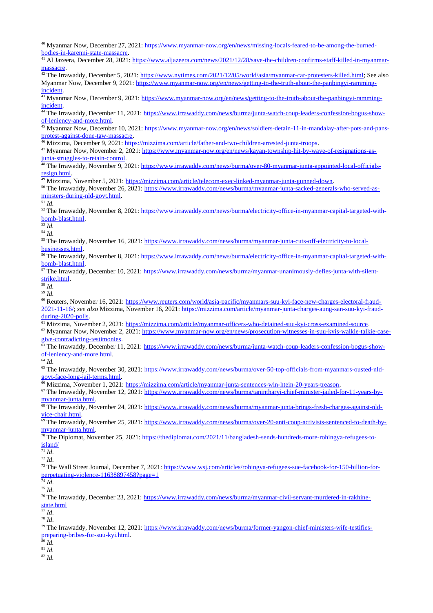40 Myanmar Now, December 27, 2021: [https://www.myanmar-now.org/en/news/missing-locals-feared-to-be-among-the-burned](https://www.myanmar-now.org/en/news/missing-locals-feared-to-be-among-the-burned-bodies-in-karenni-state-massacre)[bodies-in-karenni-state-massacre.](https://www.myanmar-now.org/en/news/missing-locals-feared-to-be-among-the-burned-bodies-in-karenni-state-massacre)

41 Al Jazeera, December 28, 2021: [https://www.aljazeera.com/news/2021/12/28/save-the-children-confirms-staff-killed-in-myanmar](https://www.aljazeera.com/news/2021/12/28/save-the-children-confirms-staff-killed-in-myanmar-massacre)[massacre.](https://www.aljazeera.com/news/2021/12/28/save-the-children-confirms-staff-killed-in-myanmar-massacre)

<sup>42</sup> The Irrawaddy, December 5, 2021: [https://www.nytimes.com/2021/12/05/world/asia/myanmar-car-protesters-killed.html;](https://www.nytimes.com/2021/12/05/world/asia/myanmar-car-protesters-killed.html) See also Myanmar Now, December 9, 2021: [https://www.myanmar-now.org/en/news/getting-to-the-truth-about-the-panbingyi-ramming](https://www.myanmar-now.org/en/news/getting-to-the-truth-about-the-panbingyi-ramming-incident)[incident.](https://www.myanmar-now.org/en/news/getting-to-the-truth-about-the-panbingyi-ramming-incident)

<sup>43</sup> Myanmar Now, December 9, 2021: [https://www.myanmar-now.org/en/news/getting-to-the-truth-about-the-panbingyi-ramming](https://www.myanmar-now.org/en/news/getting-to-the-truth-about-the-panbingyi-ramming-incident)[incident.](https://www.myanmar-now.org/en/news/getting-to-the-truth-about-the-panbingyi-ramming-incident)

44 The Irrawaddy, December 11, 2021: [https://www.irrawaddy.com/news/burma/junta-watch-coup-leaders-confession-bogus-show](https://www.irrawaddy.com/news/burma/junta-watch-coup-leaders-confession-bogus-show-of-leniency-and-more.html)[of-leniency-and-more.html.](https://www.irrawaddy.com/news/burma/junta-watch-coup-leaders-confession-bogus-show-of-leniency-and-more.html)

Myanmar Now, December 10, 2021: [https://www.myanmar-now.org/en/news/soldiers-detain-11-in-mandalay-after-pots-and-pans](https://www.myanmar-now.org/en/news/soldiers-detain-11-in-mandalay-after-pots-and-pans-protest-against-done-taw-massacre)[protest-against-done-taw-massacre.](https://www.myanmar-now.org/en/news/soldiers-detain-11-in-mandalay-after-pots-and-pans-protest-against-done-taw-massacre)

<sup>46</sup> Mizzima, December 9, 2021: [https://mizzima.com/article/father-and-two-children-arrested-junta-troops.](https://mizzima.com/article/father-and-two-children-arrested-junta-troops)

<sup>47</sup> Myanmar Now, November 2, 2021: [https://www.myanmar-now.org/en/news/kayan-township-hit-by-wave-of-resignations-as](https://www.myanmar-now.org/en/news/kayan-township-hit-by-wave-of-resignations-as-junta-struggles-to-retain-control)[junta-struggles-to-retain-control.](https://www.myanmar-now.org/en/news/kayan-township-hit-by-wave-of-resignations-as-junta-struggles-to-retain-control)

48 The Irrawaddy, November 9, 2021: [https://www.irrawaddy.com/news/burma/over-80-myanmar-junta-appointed-local-officials](https://www.irrawaddy.com/news/burma/over-80-myanmar-junta-appointed-local-officials-resign.html)[resign.html.](https://www.irrawaddy.com/news/burma/over-80-myanmar-junta-appointed-local-officials-resign.html)

<sup>49</sup> Mizzima, November 5, 2021: [https://mizzima.com/article/telecom-exec-linked-myanmar-junta-gunned-down.](https://mizzima.com/article/telecom-exec-linked-myanmar-junta-gunned-down)

<sup>50</sup> The Irrawaddy, November 26, 2021: [https://www.irrawaddy.com/news/burma/myanmar-junta-sacked-generals-who-served-as](https://www.irrawaddy.com/news/burma/myanmar-junta-sacked-generals-who-served-as-minsters-during-nld-govt.html)[minsters-during-nld-govt.html.](https://www.irrawaddy.com/news/burma/myanmar-junta-sacked-generals-who-served-as-minsters-during-nld-govt.html)

 $\overline{51}$  *Id.* 

<sup>52</sup> The Irrawaddy, November 8, 2021: [https://www.irrawaddy.com/news/burma/electricity-office-in-myanmar-capital-targeted-with](https://www.irrawaddy.com/news/burma/electricity-office-in-myanmar-capital-targeted-with-bomb-blast.html)[bomb-blast.html.](https://www.irrawaddy.com/news/burma/electricity-office-in-myanmar-capital-targeted-with-bomb-blast.html)

 $\overline{\overline{\phantom{a}}^{53}Id}$ .

<sup>54</sup> *Id.*

<sup>55</sup> The Irrawaddy, November 16, 2021: [https://www.irrawaddy.com/news/burma/myanmar-junta-cuts-off-electricity-to-local](https://www.irrawaddy.com/news/burma/myanmar-junta-cuts-off-electricity-to-local-businesses.html)[businesses.html.](https://www.irrawaddy.com/news/burma/myanmar-junta-cuts-off-electricity-to-local-businesses.html)

<sup>56</sup> The Irrawaddy, November 8, 2021: [https://www.irrawaddy.com/news/burma/electricity-office-in-myanmar-capital-targeted-with](https://www.irrawaddy.com/news/burma/electricity-office-in-myanmar-capital-targeted-with-bomb-blast.html)[bomb-blast.html.](https://www.irrawaddy.com/news/burma/electricity-office-in-myanmar-capital-targeted-with-bomb-blast.html)

<sup>57</sup> The Irrawaddy, December 10, 2021: [https://www.irrawaddy.com/news/burma/myanmar-unanimously-defies-junta-with-silent](https://www.irrawaddy.com/news/burma/myanmar-unanimously-defies-junta-with-silent-strike.html)[strike.html.](https://www.irrawaddy.com/news/burma/myanmar-unanimously-defies-junta-with-silent-strike.html)

<sup>58</sup> *Id.* <sup>59</sup> *Id.*

60 Reuters, November 16, 2021: [https://www.reuters.com/world/asia-pacific/myanmars-suu-kyi-face-new-charges-electoral-fraud-](https://www.reuters.com/world/asia-pacific/myanmars-suu-kyi-face-new-charges-electoral-fraud-2021-11-16/)[2021-11-16/;](https://www.reuters.com/world/asia-pacific/myanmars-suu-kyi-face-new-charges-electoral-fraud-2021-11-16/) *see also* Mizzima, November 16, 2021: [https://mizzima.com/article/myanmar-junta-charges-aung-san-suu-kyi-fraud](https://mizzima.com/article/myanmar-junta-charges-aung-san-suu-kyi-fraud-during-2020-polls)[during-2020-polls.](https://mizzima.com/article/myanmar-junta-charges-aung-san-suu-kyi-fraud-during-2020-polls)

61 Mizzima, November 2, 2021: [https://mizzima.com/article/myanmar-officers-who-detained-suu-kyi-cross-examined-source.](https://mizzima.com/article/myanmar-officers-who-detained-suu-kyi-cross-examined-source)

62 Myanmar Now, November 2, 2021: [https://www.myanmar-now.org/en/news/prosecution-witnesses-in-suu-kyis-walkie-talkie-case](https://www.myanmar-now.org/en/news/prosecution-witnesses-in-suu-kyis-walkie-talkie-case-give-contradicting-testimonies)[give-contradicting-testimonies.](https://www.myanmar-now.org/en/news/prosecution-witnesses-in-suu-kyis-walkie-talkie-case-give-contradicting-testimonies)

<sup>63</sup> The Irrawaddy, December 11, 2021: [https://www.irrawaddy.com/news/burma/junta-watch-coup-leaders-confession-bogus-show](https://www.irrawaddy.com/news/burma/junta-watch-coup-leaders-confession-bogus-show-of-leniency-and-more.html)[of-leniency-and-more.html.](https://www.irrawaddy.com/news/burma/junta-watch-coup-leaders-confession-bogus-show-of-leniency-and-more.html)

<sup>64</sup> *Id.*

<sup>65</sup> The Irrawaddy, November 30, 2021: [https://www.irrawaddy.com/news/burma/over-50-top-officials-from-myanmars-ousted-nld](https://www.irrawaddy.com/news/burma/over-50-top-officials-from-myanmars-ousted-nld-govt-face-long-jail-terms.html)[govt-face-long-jail-terms.html.](https://www.irrawaddy.com/news/burma/over-50-top-officials-from-myanmars-ousted-nld-govt-face-long-jail-terms.html)

<sup>66</sup> Mizzima, November 1, 2021: [https://mizzima.com/article/myanmar-junta-sentences-win-htein-20-years-treason.](https://mizzima.com/article/myanmar-junta-sentences-win-htein-20-years-treason)

<sup>67</sup> The Irrawaddy, November 12, 2021: [https://www.irrawaddy.com/news/burma/tanintharyi-chief-minister-jailed-for-11-years-by](https://www.irrawaddy.com/news/burma/tanintharyi-chief-minister-jailed-for-11-years-by-myanmar-junta.html)[myanmar-junta.html.](https://www.irrawaddy.com/news/burma/tanintharyi-chief-minister-jailed-for-11-years-by-myanmar-junta.html)

<sup>68</sup> The Irrawaddy, November 24, 2021: [https://www.irrawaddy.com/news/burma/myanmar-junta-brings-fresh-charges-against-nld](https://www.irrawaddy.com/news/burma/myanmar-junta-brings-fresh-charges-against-nld-vice-chair.html)[vice-chair.html.](https://www.irrawaddy.com/news/burma/myanmar-junta-brings-fresh-charges-against-nld-vice-chair.html)

<sup>69</sup> The Irrawaddy, November 25, 2021: [https://www.irrawaddy.com/news/burma/over-20-anti-coup-activists-sentenced-to-death-by](https://www.irrawaddy.com/news/burma/over-20-anti-coup-activists-sentenced-to-death-by-myanmar-junta.html)[myanmar-junta.html.](https://www.irrawaddy.com/news/burma/over-20-anti-coup-activists-sentenced-to-death-by-myanmar-junta.html)

<sup>70</sup> The Diplomat, November 25, 2021: [https://thediplomat.com/2021/11/bangladesh-sends-hundreds-more-rohingya-refugees-to](https://thediplomat.com/2021/11/bangladesh-sends-hundreds-more-rohingya-refugees-to-island/)[island/](https://thediplomat.com/2021/11/bangladesh-sends-hundreds-more-rohingya-refugees-to-island/)

 $\overline{71}$  *Id*.

<sup>72</sup> *Id*.

73 The Wall Street Journal, December 7, 2021: [https://www.wsj.com/articles/rohingya-refugees-sue-facebook-for-150-billion-for](https://www.wsj.com/articles/rohingya-refugees-sue-facebook-for-150-billion-for-perpetuating-violence-11638897458?page=1)[perpetuating-violence-11638897458?page=1](https://www.wsj.com/articles/rohingya-refugees-sue-facebook-for-150-billion-for-perpetuating-violence-11638897458?page=1)

 $^{74}$  *Id*. <sup>75</sup> *Id*.

<sup>76</sup> The Irrawaddy, December 23, 2021: [https://www.irrawaddy.com/news/burma/myanmar-civil-servant-murdered-in-rakhine](https://www.irrawaddy.com/news/burma/myanmar-civil-servant-murdered-in-rakhine-state.html)[state.html](https://www.irrawaddy.com/news/burma/myanmar-civil-servant-murdered-in-rakhine-state.html)

<sup>77</sup> *Id*.

<sup>78</sup> *Id*.

<sup>79</sup> The Irrawaddy, November 12, 2021: [https://www.irrawaddy.com/news/burma/former-yangon-chief-ministers-wife-testifies](https://www.irrawaddy.com/news/burma/former-yangon-chief-ministers-wife-testifies-preparing-bribes-for-suu-kyi.html)[preparing-bribes-for-suu-kyi.html.](https://www.irrawaddy.com/news/burma/former-yangon-chief-ministers-wife-testifies-preparing-bribes-for-suu-kyi.html)

 $\overline{80}$  *Id.* 

<sup>81</sup> *Id.*

 $82 \text{ Id.}$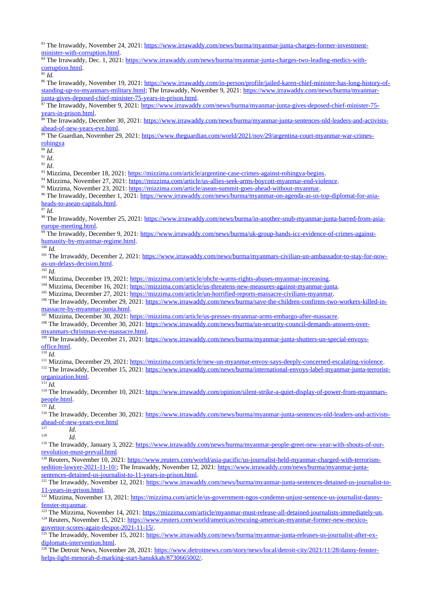83 The Irrawaddy, November 24, 2021: [https://www.irrawaddy.com/news/burma/myanmar-junta-charges-former-investment](https://www.irrawaddy.com/news/burma/myanmar-junta-charges-former-investment-minister-with-corruption.html)[minister-with-corruption.html.](https://www.irrawaddy.com/news/burma/myanmar-junta-charges-former-investment-minister-with-corruption.html)

<sup>84</sup> The Irrawaddy, Dec. 1, 2021: [https://www.irrawaddy.com/news/burma/myanmar-junta-charges-two-leading-medics-with](https://www.irrawaddy.com/news/burma/myanmar-junta-charges-two-leading-medics-with-corruption.html)[corruption.html.](https://www.irrawaddy.com/news/burma/myanmar-junta-charges-two-leading-medics-with-corruption.html)

 $85$  *Id.* 

<sup>86</sup> The Irrawaddy, November 19, 2021: [https://www.irrawaddy.com/in-person/profile/jailed-karen-chief-minister-has-long-history-of](https://www.irrawaddy.com/in-person/profile/jailed-karen-chief-minister-has-long-history-of-standing-up-to-myanmars-military.html)[standing-up-to-myanmars-military.html;](https://www.irrawaddy.com/in-person/profile/jailed-karen-chief-minister-has-long-history-of-standing-up-to-myanmars-military.html) The Irrawaddy, November 9, 2021: [https://www.irrawaddy.com/news/burma/myanmar](https://www.irrawaddy.com/news/burma/myanmar-junta-gives-deposed-chief-minister-75-years-in-prison.html)[junta-gives-deposed-chief-minister-75-years-in-prison.html.](https://www.irrawaddy.com/news/burma/myanmar-junta-gives-deposed-chief-minister-75-years-in-prison.html)

87 The Irrawaddy, November 9, 2021: [https://www.irrawaddy.com/news/burma/myanmar-junta-gives-deposed-chief-minister-75](https://www.irrawaddy.com/news/burma/myanmar-junta-gives-deposed-chief-minister-75-years-in-prison.html) [years-in-prison.html.](https://www.irrawaddy.com/news/burma/myanmar-junta-gives-deposed-chief-minister-75-years-in-prison.html)

<sup>88</sup> The Irrawaddy, December 30, 2021: [https://www.irrawaddy.com/news/burma/myanmar-junta-sentences-nld-leaders-and-activists](https://www.irrawaddy.com/news/burma/myanmar-junta-sentences-nld-leaders-and-activists-ahead-of-new-years-eve.html)[ahead-of-new-years-eve.html.](https://www.irrawaddy.com/news/burma/myanmar-junta-sentences-nld-leaders-and-activists-ahead-of-new-years-eve.html)

<sup>89</sup> The Guardian, November 29, 2021: [https://www.theguardian.com/world/2021/nov/29/argentina-court-myanmar-war-crimes](https://www.theguardian.com/world/2021/nov/29/argentina-court-myanmar-war-crimes-rohingya)[rohingya](https://www.theguardian.com/world/2021/nov/29/argentina-court-myanmar-war-crimes-rohingya)

 $\frac{6}{90}$  *Id.* 

<sup>91</sup> *Id*.

<sup>92</sup> *Id*.

93 Mizzima, December 18, 2021: [https://mizzima.com/article/argentine-case-crimes-against-rohingya-begins.](https://mizzima.com/article/argentine-case-crimes-against-rohingya-begins)

<sup>94</sup> Mizzima, November 27, 2021: [https://mizzima.com/article/us-allies-seek-arms-boycott-myanmar-end-violence.](https://mizzima.com/article/us-allies-seek-arms-boycott-myanmar-end-violence)

<sup>95</sup> Mizzima, November 23, 2021: [https://mizzima.com/article/asean-summit-goes-ahead-without-myanmar.](https://mizzima.com/article/asean-summit-goes-ahead-without-myanmar)

96 The Irrawaddy, December 1, 2021: [https://www.irrawaddy.com/news/burma/myanmar-on-agenda-as-us-top-diplomat-for-asia](https://www.irrawaddy.com/news/burma/myanmar-on-agenda-as-us-top-diplomat-for-asia-heads-to-asean-capitals.html)[heads-to-asean-capitals.html.](https://www.irrawaddy.com/news/burma/myanmar-on-agenda-as-us-top-diplomat-for-asia-heads-to-asean-capitals.html)

<sup>97</sup> *Id.*

98 The Irrawaddy, November 25, 2021: [https://www.irrawaddy.com/news/burma/in-another-snub-myanmar-junta-barred-from-asia](https://www.irrawaddy.com/news/burma/in-another-snub-myanmar-junta-barred-from-asia-europe-meeting.html)[europe-meeting.html.](https://www.irrawaddy.com/news/burma/in-another-snub-myanmar-junta-barred-from-asia-europe-meeting.html)

<sup>99</sup> The Irrawaddy, December 9, 2021: [https://www.irrawaddy.com/news/burma/uk-group-hands-icc-evidence-of-crimes-against](https://www.irrawaddy.com/news/burma/uk-group-hands-icc-evidence-of-crimes-against-humanity-by-myanmar-regime.html)[humanity-by-myanmar-regime.html.](https://www.irrawaddy.com/news/burma/uk-group-hands-icc-evidence-of-crimes-against-humanity-by-myanmar-regime.html)

 $\frac{1}{100}$  *Id.* 

<sup>101</sup> The Irrawaddy, December 2, 2021: [https://www.irrawaddy.com/news/burma/myanmars-civilian-un-ambassador-to-stay-for-now](https://www.irrawaddy.com/news/burma/myanmars-civilian-un-ambassador-to-stay-for-now-as-un-delays-decision.html)[as-un-delays-decision.html.](https://www.irrawaddy.com/news/burma/myanmars-civilian-un-ambassador-to-stay-for-now-as-un-delays-decision.html)

 $\frac{102}{102}$ *Id.* 

<sup>103</sup> Mizzima, December 19, 2021: [https://mizzima.com/article/ohchr-warns-rights-abuses-myanmar-increasing.](https://mizzima.com/article/ohchr-warns-rights-abuses-myanmar-increasing)

<sup>104</sup> Mizzima, December 16, 2021: [https://mizzima.com/article/us-threatens-new-measures-against-myanmar-junta.](https://mizzima.com/article/us-threatens-new-measures-against-myanmar-junta)

<sup>105</sup> Mizzima, December 27, 2021: [https://mizzima.com/article/un-horrified-reports-massacre-civilians-myanmar.](https://mizzima.com/article/un-horrified-reports-massacre-civilians-myanmar)

106 The Irrawaddy, December 29, 2021: [https://www.irrawaddy.com/news/burma/save-the-children-confirms-two-workers-killed-in](https://www.irrawaddy.com/news/burma/save-the-children-confirms-two-workers-killed-in-massacre-by-myanmar-junta.html)[massacre-by-myanmar-junta.html.](https://www.irrawaddy.com/news/burma/save-the-children-confirms-two-workers-killed-in-massacre-by-myanmar-junta.html)

107 Mizzima, December 30, 2021: [https://mizzima.com/article/us-presses-myanmar-arms-embargo-after-massacre.](https://mizzima.com/article/us-presses-myanmar-arms-embargo-after-massacre)

108 The Irrawaddy, December 30, 2021: [https://www.irrawaddy.com/news/burma/un-security-council-demands-answers-over](https://www.irrawaddy.com/news/burma/un-security-council-demands-answers-over-myanmars-christmas-eve-massacre.html)[myanmars-christmas-eve-massacre.html.](https://www.irrawaddy.com/news/burma/un-security-council-demands-answers-over-myanmars-christmas-eve-massacre.html)

<sup>109</sup> The Irrawaddy, December 21, 2021: [https://www.irrawaddy.com/news/burma/myanmar-junta-shutters-un-special-envoys](https://www.irrawaddy.com/news/burma/myanmar-junta-shutters-un-special-envoys-office.html)[office.html.](https://www.irrawaddy.com/news/burma/myanmar-junta-shutters-un-special-envoys-office.html)

<sup>110</sup> *Id.*

<sup>111</sup> Mizzima, December 29, 2021: [https://mizzima.com/article/new-un-myanmar-envoy-says-deeply-concerned-escalating-violence.](https://mizzima.com/article/new-un-myanmar-envoy-says-deeply-concerned-escalating-violence)

<sup>112</sup> The Irrawaddy, December 15, 2021: [https://www.irrawaddy.com/news/burma/international-envoys-label-myanmar-junta-terrorist](https://www.irrawaddy.com/news/burma/international-envoys-label-myanmar-junta-terrorist-organization.html)[organization.html.](https://www.irrawaddy.com/news/burma/international-envoys-label-myanmar-junta-terrorist-organization.html)

<sup>113</sup> *Id.*

<sup>114</sup> The Irrawaddy, December 10, 2021: [https://www.irrawaddy.com/opinion/silent-strike-a-quiet-display-of-power-from-myanmars](https://www.irrawaddy.com/opinion/silent-strike-a-quiet-display-of-power-from-myanmars-people.html)[people.html.](https://www.irrawaddy.com/opinion/silent-strike-a-quiet-display-of-power-from-myanmars-people.html)

<sup>115</sup> *Id*.

<sup>116</sup> The Irrawaddy, December 30, 2021: [https://www.irrawaddy.com/news/burma/myanmar-junta-sentences-nld-leaders-and-activists](https://www.irrawaddy.com/news/burma/myanmar-junta-sentences-nld-leaders-and-activists-ahead-of-new-years-eve.html)[ahead-of-new-years-eve.html](https://www.irrawaddy.com/news/burma/myanmar-junta-sentences-nld-leaders-and-activists-ahead-of-new-years-eve.html)

 $117$  *Id.*<br> $118$  *Id.* 

<sup>118</sup> *Id*.

<sup>119</sup> The Irrawaddy, January 3, 2022: [https://www.irrawaddy.com/news/burma/myanmar-people-greet-new-year-with-shouts-of-our](https://www.irrawaddy.com/news/burma/myanmar-people-greet-new-year-with-shouts-of-our-revolution-must-prevail.html)[revolution-must-prevail.html](https://www.irrawaddy.com/news/burma/myanmar-people-greet-new-year-with-shouts-of-our-revolution-must-prevail.html)

<sup>120</sup> Reuters, November 10, 2021: [https://www.reuters.com/world/asia-pacific/us-journalist-held-myanmar-charged-with-terrorism](https://www.reuters.com/world/asia-pacific/us-journalist-held-myanmar-charged-with-terrorism-sedition-lawyer-2021-11-10/)[sedition-lawyer-2021-11-10/;](https://www.reuters.com/world/asia-pacific/us-journalist-held-myanmar-charged-with-terrorism-sedition-lawyer-2021-11-10/) The Irrawaddy, November 12, 2021: [https://www.irrawaddy.com/news/burma/myanmar-junta](https://www.irrawaddy.com/news/burma/myanmar-junta-sentences-detained-us-journalist-to-11-years-in-prison.html)[sentences-detained-us-journalist-to-11-years-in-prison.html.](https://www.irrawaddy.com/news/burma/myanmar-junta-sentences-detained-us-journalist-to-11-years-in-prison.html)

<sup>121</sup> The Irrawaddy, November 12, 2021: [https://www.irrawaddy.com/news/burma/myanmar-junta-sentences-detained-us-journalist-to-](https://www.irrawaddy.com/news/burma/myanmar-junta-sentences-detained-us-journalist-to-11-years-in-prison.html)[11-years-in-prison.html.](https://www.irrawaddy.com/news/burma/myanmar-junta-sentences-detained-us-journalist-to-11-years-in-prison.html)

122 Mizzima, November 13, 2021: [https://mizzima.com/article/us-government-ngos-condemn-unjust-sentence-us-journalist-danny](https://mizzima.com/article/us-government-ngos-condemn-unjust-sentence-us-journalist-danny-fenster-myanmar)[fenster-myanmar.](https://mizzima.com/article/us-government-ngos-condemn-unjust-sentence-us-journalist-danny-fenster-myanmar)

<sup>123</sup> The Mizzima, November 14, 2021: [https://mizzima.com/article/myanmar-must-release-all-detained-journalists-immediately-un.](https://mizzima.com/article/myanmar-must-release-all-detained-journalists-immediately-un)

<sup>124</sup> Reuters, November 15, 2021: [https://www.reuters.com/world/americas/rescuing-american-myanmar-former-new-mexico](https://www.reuters.com/world/americas/rescuing-american-myanmar-former-new-mexico-governor-scores-again-despot-2021-11-15/)[governor-scores-again-despot-2021-11-15/.](https://www.reuters.com/world/americas/rescuing-american-myanmar-former-new-mexico-governor-scores-again-despot-2021-11-15/)

<sup>125</sup> The Irrawaddy, November 15, 2021: [https://www.irrawaddy.com/news/burma/myanmar-junta-releases-us-journalist-after-ex](https://www.irrawaddy.com/news/burma/myanmar-junta-releases-us-journalist-after-ex-diplomats-intervention.html)[diplomats-intervention.html.](https://www.irrawaddy.com/news/burma/myanmar-junta-releases-us-journalist-after-ex-diplomats-intervention.html)

<sup>126</sup> The Detroit News, November 28, 2021: [https://www.detroitnews.com/story/news/local/detroit-city/2021/11/28/danny-fenster](https://www.detroitnews.com/story/news/local/detroit-city/2021/11/28/danny-fenster-helps-light-menorah-d-marking-start-hanukkah/8730665002/)[helps-light-menorah-d-marking-start-hanukkah/8730665002/.](https://www.detroitnews.com/story/news/local/detroit-city/2021/11/28/danny-fenster-helps-light-menorah-d-marking-start-hanukkah/8730665002/)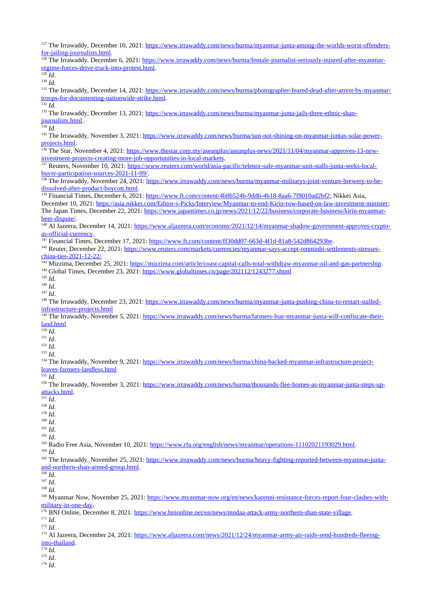127 The Irrawaddy, December 10, 2021: [https://www.irrawaddy.com/news/burma/myanmar-junta-among-the-worlds-worst-offenders](https://www.irrawaddy.com/news/burma/myanmar-junta-among-the-worlds-worst-offenders-for-jailing-journalists.html)[for-jailing-journalists.html.](https://www.irrawaddy.com/news/burma/myanmar-junta-among-the-worlds-worst-offenders-for-jailing-journalists.html)

<sup>128</sup> The Irrawaddy, December 6, 2021: [https://www.irrawaddy.com/news/burma/female-journalist-seriously-injured-after-myanmar](https://www.irrawaddy.com/news/burma/female-journalist-seriously-injured-after-myanmar-regime-forces-drive-truck-into-protest.html)[regime-forces-drive-truck-into-protest.html.](https://www.irrawaddy.com/news/burma/female-journalist-seriously-injured-after-myanmar-regime-forces-drive-truck-into-protest.html)  $\frac{129}{129}$ *Id.* 

 $130 \text{ Id}$ 

<sup>131</sup> The Irrawaddy, December 14, 2021: [https://www.irrawaddy.com/news/burma/photographer-feared-dead-after-arrest-by-myanmar](https://www.irrawaddy.com/news/burma/photographer-feared-dead-after-arrest-by-myanmar-troops-for-documenting-nationwide-strike.html)[troops-for-documenting-nationwide-strike.html.](https://www.irrawaddy.com/news/burma/photographer-feared-dead-after-arrest-by-myanmar-troops-for-documenting-nationwide-strike.html)

 $\frac{1}{132} \overline{Id}$ .

<sup>133</sup> The Irrawaddy, December 13, 2021: [https://www.irrawaddy.com/news/burma/myanmar-junta-jails-three-ethnic-shan](https://www.irrawaddy.com/news/burma/myanmar-junta-jails-three-ethnic-shan-journalists.html)[journalists.html.](https://www.irrawaddy.com/news/burma/myanmar-junta-jails-three-ethnic-shan-journalists.html)

 $\frac{134}{134}$  *Id.* 

<sup>135</sup> The Irrawaddy, November 3, 2021: [https://www.irrawaddy.com/news/burma/sun-not-shining-on-myanmar-juntas-solar-power](https://www.irrawaddy.com/news/burma/sun-not-shining-on-myanmar-juntas-solar-power-projects.html)[projects.html.](https://www.irrawaddy.com/news/burma/sun-not-shining-on-myanmar-juntas-solar-power-projects.html)

<sup>136</sup> The Star, November 4, 2021: [https://www.thestar.com.my/aseanplus/aseanplus-news/2021/11/04/myanmar-approves-13-new](https://www.thestar.com.my/aseanplus/aseanplus-news/2021/11/04/myanmar-approves-13-new-investment-projects-creating-more-job-opportunities-in-local-markets)[investment-projects-creating-more-job-opportunities-in-local-markets.](https://www.thestar.com.my/aseanplus/aseanplus-news/2021/11/04/myanmar-approves-13-new-investment-projects-creating-more-job-opportunities-in-local-markets)

<sup>137</sup> Reuters, November 10, 2021: [https://www.reuters.com/world/asia-pacific/telenor-sale-myanmar-unit-stalls-junta-seeks-local](https://www.reuters.com/world/asia-pacific/telenor-sale-myanmar-unit-stalls-junta-seeks-local-buyer-participation-sources-2021-11-09/)[buyer-participation-sources-2021-11-09/.](https://www.reuters.com/world/asia-pacific/telenor-sale-myanmar-unit-stalls-junta-seeks-local-buyer-participation-sources-2021-11-09/)

<sup>138</sup> The Irrawaddy, November 24, 2021: [https://www.irrawaddy.com/news/burma/myanmar-militarys-joint-venture-brewery-to-be](https://www.irrawaddy.com/news/burma/myanmar-militarys-joint-venture-brewery-to-be-dissolved-after-product-boycott.html)[dissolved-after-product-boycott.html.](https://www.irrawaddy.com/news/burma/myanmar-militarys-joint-venture-brewery-to-be-dissolved-after-product-boycott.html)

<sup>139</sup> Financial Times, December 6, 2021: [https://www.ft.com/content/4b8b524b-9dd6-4b18-8aa6-7f8010ad2bf2;](https://www.ft.com/content/4b8b524b-9dd6-4b18-8aa6-7f8010ad2bf2) Nikkei Asia,

December 10, 2021: [https://asia.nikkei.com/Editor-s-Picks/Interview/Myanmar-to-end-Kirin-row-based-on-law-investment-minister;](https://asia.nikkei.com/Editor-s-Picks/Interview/Myanmar-to-end-Kirin-row-based-on-law-investment-minister) The Japan Times, December 22, 2021: [https://www.japantimes.co.jp/news/2021/12/22/business/corporate-business/kirin-myanmar](https://www.japantimes.co.jp/news/2021/12/22/business/corporate-business/kirin-myanmar-beer-dispute/)[beer-dispute/.](https://www.japantimes.co.jp/news/2021/12/22/business/corporate-business/kirin-myanmar-beer-dispute/)

<sup>140</sup> Al Jazeera, December 14, 2021: [https://www.aljazeera.com/economy/2021/12/14/myanmar-shadow-government-approves-crypto](https://www.aljazeera.com/economy/2021/12/14/myanmar-shadow-government-approves-crypto-as-official-currency)[as-official-currency.](https://www.aljazeera.com/economy/2021/12/14/myanmar-shadow-government-approves-crypto-as-official-currency)

<sup>141</sup> Financial Times, December 17, 2021: [https://www.ft.com/content/ff30dd07-663d-4f1d-81a8-542d864293be.](https://www.ft.com/content/ff30dd07-663d-4f1d-81a8-542d864293be)

<sup>142</sup> Reuter, December 22, 2021: [https://www.reuters.com/markets/currencies/myanmar-says-accept-renminbi-settlements-stresses](https://www.reuters.com/markets/currencies/myanmar-says-accept-renminbi-settlements-stresses-china-ties-2021-12-22/)[china-ties-2021-12-22/.](https://www.reuters.com/markets/currencies/myanmar-says-accept-renminbi-settlements-stresses-china-ties-2021-12-22/)

<sup>143</sup> Mizzima, December 25, 2021: [https://mizzima.com/article/coast-capital-calls-total-withdraw-myanmar-oil-and-gas-partnership.](https://mizzima.com/article/coast-capital-calls-total-withdraw-myanmar-oil-and-gas-partnership)

<sup>144</sup> Global Times, December 23, 2021:<https://www.globaltimes.cn/page/202112/1243277.shtml>

<sup>145</sup> *Id*.

<sup>146</sup> *Id*.

<sup>147</sup> *Id*.

148 The Irrawaddy, December 23, 2021: [https://www.irrawaddy.com/news/burma/myanmar-junta-pushing-china-to-restart-stalled](https://www.irrawaddy.com/news/burma/myanmar-junta-pushing-china-to-restart-stalled-infrastructure-projects.html)[infrastructure-projects.html](https://www.irrawaddy.com/news/burma/myanmar-junta-pushing-china-to-restart-stalled-infrastructure-projects.html)

#### <sup>149</sup> The Irrawaddy, November 5, 2021: [https://www.irrawaddy.com/news/burma/farmers-fear-myanmar-junta-will-confiscate-their](https://www.irrawaddy.com/news/burma/farmers-fear-myanmar-junta-will-confiscate-their-land.html)[land.html](https://www.irrawaddy.com/news/burma/farmers-fear-myanmar-junta-will-confiscate-their-land.html)

 $\frac{150}{16}$ 

<sup>151</sup> *Id*.

<sup>152</sup> *Id*.

<sup>153</sup> *Id*.

<sup>154</sup> The Irrawaddy, November 9, 2021: [https://www.irrawaddy.com/news/burma/china-backed-myanmar-infrastructure-project](https://www.irrawaddy.com/news/burma/china-backed-myanmar-infrastructure-project-leaves-farmers-landless.html)[leaves-farmers-landless.html](https://www.irrawaddy.com/news/burma/china-backed-myanmar-infrastructure-project-leaves-farmers-landless.html)

<sup>155</sup> *Id*.

<sup>156</sup> The Irrawaddy, November 3, 2021: [https://www.irrawaddy.com/news/burma/thousands-flee-homes-as-myanmar-junta-steps-up](https://www.irrawaddy.com/news/burma/thousands-flee-homes-as-myanmar-junta-steps-up-attacks.html)[attacks.html.](https://www.irrawaddy.com/news/burma/thousands-flee-homes-as-myanmar-junta-steps-up-attacks.html)

 $\overline{\phantom{a}157}$  *Id.* 

<sup>158</sup> *Id*.

<sup>159</sup> *Id*.

<sup>160</sup> *Id*.

<sup>161</sup> *Id*. <sup>162</sup> *Id*.

<sup>163</sup> Radio Free Asia, November 10, 2021: [https://www.rfa.org/english/news/myanmar/operations-11102021193029.html.](https://www.rfa.org/english/news/myanmar/operations-11102021193029.html)

<sup>164</sup> *Id*.

<sup>165</sup> The Irrawaddy, November 25, 2021: [https://www.irrawaddy.com/news/burma/heavy-fighting-reported-between-myanmar-junta](https://www.irrawaddy.com/news/burma/heavy-fighting-reported-between-myanmar-junta-and-northern-shan-armed-group.html)[and-northern-shan-armed-group.html.](https://www.irrawaddy.com/news/burma/heavy-fighting-reported-between-myanmar-junta-and-northern-shan-armed-group.html)

<sup>166</sup> *Id*.

<sup>167</sup> *Id*.

<sup>168</sup> *Id*.

<sup>169</sup> Myanmar Now, November 25, 2021: [https://www.myanmar-now.org/en/news/karenni-resistance-forces-report-four-clashes-with](https://www.myanmar-now.org/en/news/karenni-resistance-forces-report-four-clashes-with-military-in-one-day)[military-in-one-day.](https://www.myanmar-now.org/en/news/karenni-resistance-forces-report-four-clashes-with-military-in-one-day)

<sup>170</sup> BNI Online, December 8, 2021: [https://www.bnionline.net/en/news/mndaa-attack-army-northern-shan-state-village.](https://www.bnionline.net/en/news/mndaa-attack-army-northern-shan-state-village)

<sup>171</sup> *Id*. <sup>172</sup> *Id*.

<sup>173</sup> Al Jazeera, December 24, 2021: [https://www.aljazeera.com/news/2021/12/24/myanmar-army-air-raids-send-hundreds-fleeing](https://www.aljazeera.com/news/2021/12/24/myanmar-army-air-raids-send-hundreds-fleeing-into-thailand)[into-thailand.](https://www.aljazeera.com/news/2021/12/24/myanmar-army-air-raids-send-hundreds-fleeing-into-thailand)

<sup>174</sup> *Id*.

<sup>175</sup> *Id*.

<sup>176</sup> *Id*.